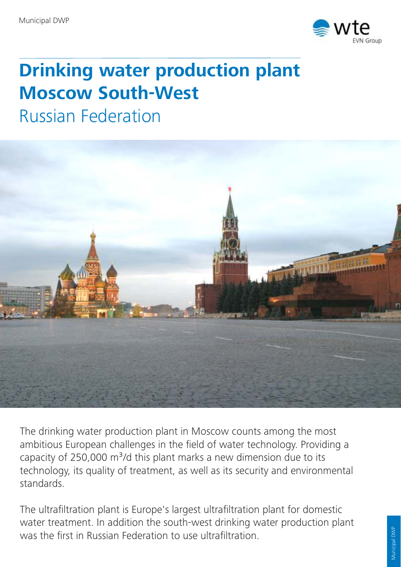

## **Drinking water production plant Moscow South-West**

Russian Federation



The drinking water production plant in Moscow counts among the most ambitious European challenges in the field of water technology. Providing a capacity of 250,000  $m^3$ /d this plant marks a new dimension due to its technology, its quality of treatment, as well as its security and environmental standards.

The ultrafiltration plant is Europe's largest ultrafiltration plant for domestic water treatment. In addition the south-west drinking water production plant was the first in Russian Federation to use ultrafiltration.